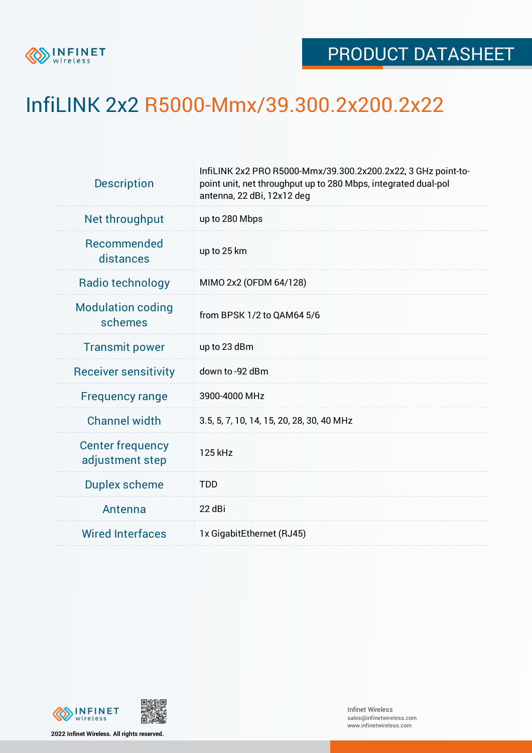

## InfiLINK 2x2 R5000-Mmx/39.300.2x200.2x22

| <b>Description</b>                         | InfiLINK 2x2 PRO R5000-Mmx/39.300.2x200.2x22, 3 GHz point-to-<br>point unit, net throughput up to 280 Mbps, integrated dual-pol<br>antenna, 22 dBi, 12x12 deg |  |  |  |  |
|--------------------------------------------|---------------------------------------------------------------------------------------------------------------------------------------------------------------|--|--|--|--|
| Net throughput                             | up to 280 Mbps                                                                                                                                                |  |  |  |  |
| Recommended<br>distances                   | up to 25 km                                                                                                                                                   |  |  |  |  |
| Radio technology                           | MIMO 2x2 (OFDM 64/128)                                                                                                                                        |  |  |  |  |
| <b>Modulation coding</b><br>schemes        | from BPSK 1/2 to QAM64 5/6                                                                                                                                    |  |  |  |  |
| <b>Transmit power</b>                      | up to 23 dBm                                                                                                                                                  |  |  |  |  |
| <b>Receiver sensitivity</b>                | down to -92 dBm                                                                                                                                               |  |  |  |  |
| <b>Frequency range</b>                     | 3900-4000 MHz                                                                                                                                                 |  |  |  |  |
| <b>Channel width</b>                       | 3.5, 5, 7, 10, 14, 15, 20, 28, 30, 40 MHz                                                                                                                     |  |  |  |  |
| <b>Center frequency</b><br>adjustment step | 125 kHz                                                                                                                                                       |  |  |  |  |
| <b>Duplex scheme</b>                       | <b>TDD</b>                                                                                                                                                    |  |  |  |  |
| Antenna                                    | 22 dBi                                                                                                                                                        |  |  |  |  |
| <b>Wired Interfaces</b>                    | 1x GigabitEthernet (RJ45)                                                                                                                                     |  |  |  |  |



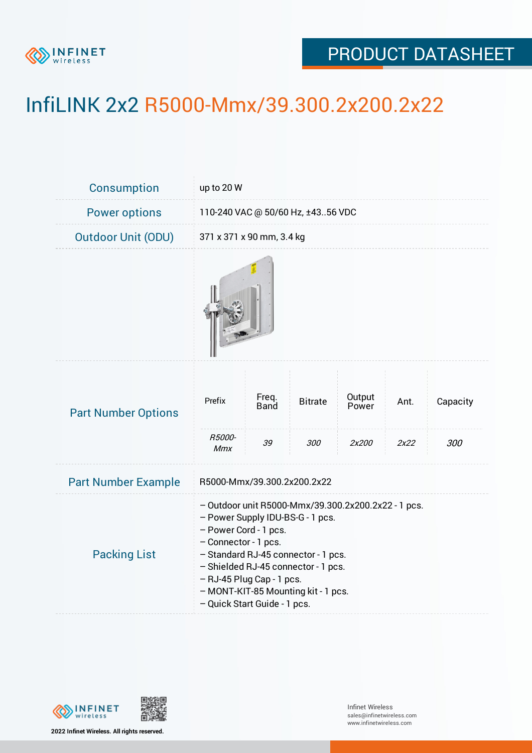

## PRODUCT DATASHEET

## InfiLINK 2x2 R5000-Mmx/39.300.2x200.2x22

| Consumption                | up to 20 W                                                                                                                                                                                                                                                                                                                 |                            |                       |                          |              |                 |  |  |
|----------------------------|----------------------------------------------------------------------------------------------------------------------------------------------------------------------------------------------------------------------------------------------------------------------------------------------------------------------------|----------------------------|-----------------------|--------------------------|--------------|-----------------|--|--|
| <b>Power options</b>       | 110-240 VAC @ 50/60 Hz, ±4356 VDC                                                                                                                                                                                                                                                                                          |                            |                       |                          |              |                 |  |  |
| <b>Outdoor Unit (ODU)</b>  |                                                                                                                                                                                                                                                                                                                            | 371 x 371 x 90 mm, 3.4 kg  |                       |                          |              |                 |  |  |
|                            |                                                                                                                                                                                                                                                                                                                            |                            |                       |                          |              |                 |  |  |
| <b>Part Number Options</b> | Prefix<br>R5000-                                                                                                                                                                                                                                                                                                           | Freq.<br><b>Band</b><br>39 | <b>Bitrate</b><br>300 | Output<br>Power<br>2x200 | Ant.<br>2x22 | Capacity<br>300 |  |  |
| <b>Part Number Example</b> | <b>Mmx</b><br>R5000-Mmx/39.300.2x200.2x22                                                                                                                                                                                                                                                                                  |                            |                       |                          |              |                 |  |  |
| <b>Packing List</b>        | - Outdoor unit R5000-Mmx/39.300.2x200.2x22 - 1 pcs.<br>- Power Supply IDU-BS-G - 1 pcs.<br>- Power Cord - 1 pcs.<br>- Connector - 1 pcs.<br>- Standard RJ-45 connector - 1 pcs.<br>- Shielded RJ-45 connector - 1 pcs.<br>- RJ-45 Plug Cap - 1 pcs.<br>- MONT-KIT-85 Mounting kit - 1 pcs.<br>- Quick Start Guide - 1 pcs. |                            |                       |                          |              |                 |  |  |



**2022 Infinet Wireless. All rights reserved.**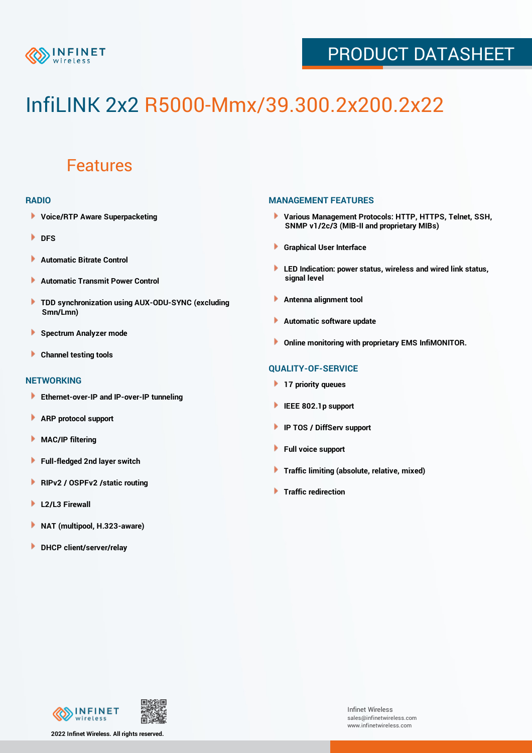

## PRODUCT DATASHEET

# InfiLINK 2x2 R5000-Mmx/39.300.2x200.2x22

### Features

#### **RADIO**

- **Voice/RTP Aware Superpacketing**
- **DFS**
- **Automatic Bitrate Control** Þ
- Þ **Automatic Transmit Power Control**
- ь **TDD synchronization using AUX-ODU-SYNC (excluding Smn/Lmn)**
- **Spectrum Analyzer mode** ۰
- **Channel testing tools** ١

#### **NETWORKING**

- **Ethernet-over-IP and IP-over-IP tunneling**
- **ARP protocol support** ٠
- ۱ **MAC/IP filtering**
- Þ **Full-fledged 2nd layer switch**
- Þ **RIPv2 / OSPFv2 /static routing**
- **L2/L3 Firewall** Þ
- **NAT (multipool, H.323-aware)** Þ
- Þ **DHCP client/server/relay**

#### **MANAGEMENT FEATURES**

- **Various Management Protocols: HTTP, HTTPS, Telnet, SSH, SNMP v1/2c/3 (MIB-II and proprietary MIBs)**
- **Graphical User Interface**
- **LED Indication: power status, wireless and wired link status, signal level**
- **Antenna alignment tool**
- ٠ **Automatic software update**
- **Online monitoring with proprietary EMS InfiMONITOR.**

#### **QUALITY-OF-SERVICE**

- **17 priority queues**
- **IEEE 802.1p support**
- **IP TOS / DiffServ support**
- ٠ **Full voice support**
- **Traffic limiting (absolute, relative, mixed)** ٠
- **Traffic redirection**